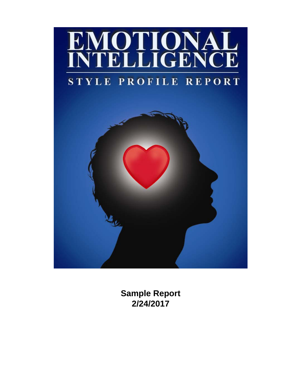

**Sample Report 2/24/2017**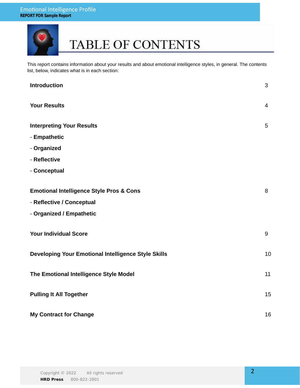

# TABLE OF CONTENTS

This report contains information about your results and about emotional intelligence styles, in general. The contents list, below, indicates what is in each section:

| <b>Introduction</b>                                 | 3              |
|-----------------------------------------------------|----------------|
| <b>Your Results</b>                                 | $\overline{4}$ |
| <b>Interpreting Your Results</b>                    | 5              |
| - Empathetic                                        |                |
| - Organized                                         |                |
| - Reflective                                        |                |
| - Conceptual                                        |                |
|                                                     |                |
| <b>Emotional Intelligence Style Pros &amp; Cons</b> | 8              |
| - Reflective / Conceptual                           |                |
| - Organized / Empathetic                            |                |
| <b>Your Individual Score</b>                        | 9              |
| Developing Your Emotional Intelligence Style Skills | 10             |
| The Emotional Intelligence Style Model              | 11             |
| <b>Pulling It All Together</b>                      | 15             |
| <b>My Contract for Change</b>                       | 16             |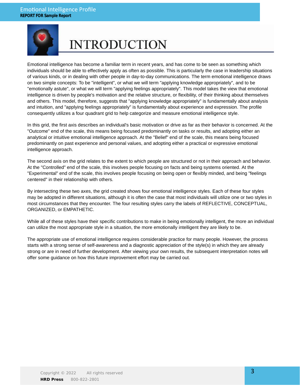

# **INTRODUCTION**

Emotional intelligence has become a familiar term in recent years, and has come to be seen as something which individuals should be able to effectively apply as often as possible. This is particularly the case in leadership situations of various kinds, or in dealing with other people in day-to-day communications. The term emotional intelligence draws on two simple concepts: To be "intelligent", or what we will term "applying knowledge appropriately", and to be "emotionally astute", or what we will term "applying feelings appropriately". This model takes the view that emotional intelligence is driven by people's motivation and the relative structure, or flexibility, of their thinking about themselves and others. This model, therefore, suggests that "applying knowledge appropriately" is fundamentally about analysis and intuition, and "applying feelings appropriately" is fundamentally about experience and expression. The profile consequently utilizes a four quadrant grid to help categorize and measure emotional intelligence style.

In this grid, the first axis describes an individual's basic motivation or drive as far as their behavior is concerned. At the "Outcome" end of the scale, this means being focused predominantly on tasks or results, and adopting either an analytical or intuitive emotional intelligence approach. At the "Belief" end of the scale, this means being focused predominantly on past experience and personal values, and adopting either a practical or expressive emotional intelligence approach.

The second axis on the grid relates to the extent to which people are structured or not in their approach and behavior. At the "Controlled" end of the scale, this involves people focusing on facts and being systems oriented. At the "Experimental" end of the scale, this involves people focusing on being open or flexibly minded, and being "feelings centered" in their relationship with others.

By intersecting these two axes, the grid created shows four emotional intelligence styles. Each of these four styles may be adopted in different situations, although it is often the case that most individuals will utilize one or two styles in most circumstances that they encounter. The four resulting styles carry the labels of REFLECTIVE, CONCEPTUAL, ORGANIZED, or EMPATHETIC.

While all of these styles have their specific contributions to make in being emotionally intelligent, the more an individual can utilize the most appropriate style in a situation, the more emotionally intelligent they are likely to be.

The appropriate use of emotional intelligence requires considerable practice for many people. However, the process starts with a strong sense of self-awareness and a diagnostic appreciation of the style(s) in which they are already strong or are in need of further development. After viewing your own results, the subsequent interpretation notes will offer some guidance on how this future improvement effort may be carried out.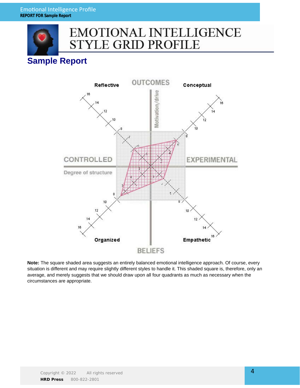

## **EMOTIONAL INTELLIGENCE STYLE GRID PROFILE**

## **Sample Report**



**Note:** The square shaded area suggests an entirely balanced emotional intelligence approach. Of course, every situation is different and may require slightly different styles to handle it. This shaded square is, therefore, only an average, and merely suggests that we should draw upon all four quadrants as much as necessary when the circumstances are appropriate.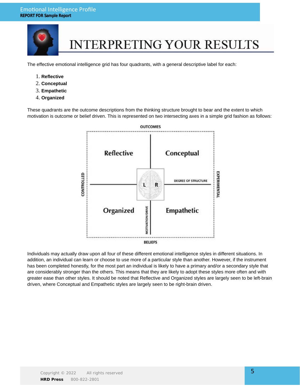

# **INTERPRETING YOUR RESULTS**

The effective emotional intelligence grid has four quadrants, with a general descriptive label for each:

- 1. **Reflective**
- 2. **Conceptual**
- 3. **Empathetic**
- 4. **Organized**

These quadrants are the outcome descriptions from the thinking structure brought to bear and the extent to which motivation is outcome or belief driven. This is represented on two intersecting axes in a simple grid fashion as follows:



Individuals may actually draw upon all four of these different emotional intelligence styles in different situations. In addition, an individual can learn or choose to use more of a particular style than another. However, if the instrument has been completed honestly, for the most part an individual is likely to have a primary and/or a secondary style that are considerably stronger than the others. This means that they are likely to adopt these styles more often and with greater ease than other styles. It should be noted that Reflective and Organized styles are largely seen to be left-brain driven, where Conceptual and Empathetic styles are largely seen to be right-brain driven.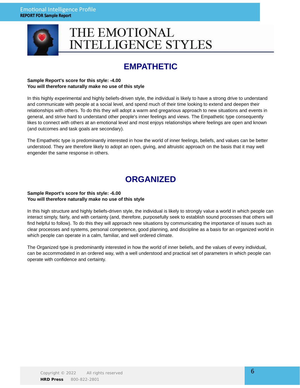

## THE EMOTIONAL **INTELLIGENCE STYLES**

## **EMPATHETIC**

### **Sample Report's score for this style: -4.00 You will therefore naturally make no use of this style**

In this highly experimental and highly beliefs-driven style, the individual is likely to have a strong drive to understand and communicate with people at a social level, and spend much of their time looking to extend and deepen their relationships with others. To do this they will adopt a warm and gregarious approach to new situations and events in general, and strive hard to understand other people's inner feelings and views. The Empathetic type consequently likes to connect with others at an emotional level and most enjoys relationships where feelings are open and known (and outcomes and task goals are secondary).

The Empathetic type is predominantly interested in how the world of inner feelings, beliefs, and values can be better understood. They are therefore likely to adopt an open, giving, and altruistic approach on the basis that it may well engender the same response in others.

## **ORGANIZED**

### **Sample Report's score for this style: -6.00 You will therefore naturally make no use of this style**

In this high structure and highly beliefs-driven style, the individual is likely to strongly value a world in which people can interact simply, fairly, and with certainty (and, therefore, purposefully seek to establish sound processes that others will find helpful to follow). To do this they will approach new situations by communicating the importance of issues such as clear processes and systems, personal competence, good planning, and discipline as a basis for an organized world in which people can operate in a calm, familiar, and well ordered climate.

The Organized type is predominantly interested in how the world of inner beliefs, and the values of every individual, can be accommodated in an ordered way, with a well understood and practical set of parameters in which people can operate with confidence and certainty.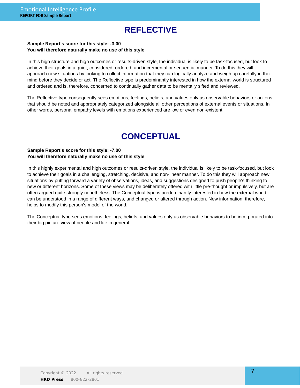## **REFLECTIVE**

### **Sample Report's score for this style: -3.00 You will therefore naturally make no use of this style**

In this high structure and high outcomes or results-driven style, the individual is likely to be task-focused, but look to achieve their goals in a quiet, considered, ordered, and incremental or sequential manner. To do this they will approach new situations by looking to collect information that they can logically analyze and weigh up carefully in their mind before they decide or act. The Reflective type is predominantly interested in how the external world is structured and ordered and is, therefore, concerned to continually gather data to be mentally sifted and reviewed.

The Reflective type consequently sees emotions, feelings, beliefs, and values only as observable behaviors or actions that should be noted and appropriately categorized alongside all other perceptions of external events or situations. In other words, personal empathy levels with emotions experienced are low or even non-existent.

## **CONCEPTUAL**

### **Sample Report's score for this style: -7.00 You will therefore naturally make no use of this style**

In this highly experimental and high outcomes or results-driven style, the individual is likely to be task-focused, but look to achieve their goals in a challenging, stretching, decisive, and non-linear manner. To do this they will approach new situations by putting forward a variety of observations, ideas, and suggestions designed to push people's thinking to new or different horizons. Some of these views may be deliberately offered with little pre-thought or impulsively, but are often argued quite strongly nonetheless. The Conceptual type is predominantly interested in how the external world can be understood in a range of different ways, and changed or altered through action. New information, therefore, helps to modify this person's model of the world.

The Conceptual type sees emotions, feelings, beliefs, and values only as observable behaviors to be incorporated into their big picture view of people and life in general.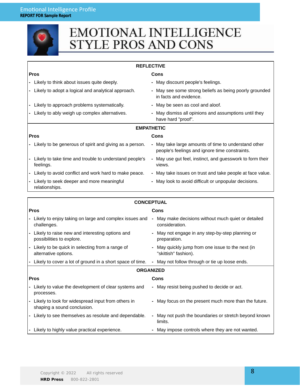|                                              | <b>EMOTIONAL INTELLIGENCE</b><br><b>STYLE PROS AND CONS</b>                                                                                |                                                                                                        |  |  |  |  |  |  |
|----------------------------------------------|--------------------------------------------------------------------------------------------------------------------------------------------|--------------------------------------------------------------------------------------------------------|--|--|--|--|--|--|
|                                              |                                                                                                                                            |                                                                                                        |  |  |  |  |  |  |
|                                              |                                                                                                                                            | <b>REFLECTIVE</b>                                                                                      |  |  |  |  |  |  |
| <b>Pros</b>                                  |                                                                                                                                            | Cons                                                                                                   |  |  |  |  |  |  |
| - Likely to think about issues quite deeply. |                                                                                                                                            | - May discount people's feelings.                                                                      |  |  |  |  |  |  |
|                                              | Likely to adopt a logical and analytical approach.<br>- May see some strong beliefs as being poorly grounded<br>in facts and evidence.     |                                                                                                        |  |  |  |  |  |  |
|                                              | Likely to approach problems systematically.                                                                                                | - May be seen as cool and aloof.                                                                       |  |  |  |  |  |  |
|                                              | Likely to ably weigh up complex alternatives.<br>- May dismiss all opinions and assumptions until they<br>have hard "proof".               |                                                                                                        |  |  |  |  |  |  |
|                                              |                                                                                                                                            | <b>EMPATHETIC</b>                                                                                      |  |  |  |  |  |  |
| <b>Pros</b>                                  |                                                                                                                                            | Cons                                                                                                   |  |  |  |  |  |  |
|                                              | - Likely to be generous of spirit and giving as a person.                                                                                  | - May take large amounts of time to understand other<br>people's feelings and ignore time constraints. |  |  |  |  |  |  |
|                                              | Likely to take time and trouble to understand people's<br>- May use gut feel, instinct, and guesswork to form their<br>feelings.<br>views. |                                                                                                        |  |  |  |  |  |  |
|                                              | Likely to avoid conflict and work hard to make peace.                                                                                      | - May take issues on trust and take people at face value.                                              |  |  |  |  |  |  |
|                                              | Likely to seek deeper and more meaningful<br>relationships.                                                                                | - May look to avoid difficult or unpopular decisions.                                                  |  |  |  |  |  |  |
|                                              |                                                                                                                                            | <b>CONCEPTUAL</b>                                                                                      |  |  |  |  |  |  |
| <b>Pros</b>                                  |                                                                                                                                            | Cons                                                                                                   |  |  |  |  |  |  |
|                                              | - Likely to enjoy taking on large and complex issues and<br>challenges.                                                                    | - May make decisions without much quiet or detailed<br>consideration.                                  |  |  |  |  |  |  |
|                                              | Likely to raise new and interesting options and<br>possibilities to explore.                                                               | May not engage in any step-by-step planning or<br>preparation.                                         |  |  |  |  |  |  |
|                                              | Likely to be quick in selecting from a range of<br>alternative options.                                                                    | May quickly jump from one issue to the next (in<br>"skittish" fashion).                                |  |  |  |  |  |  |
|                                              | Likely to cover a lot of ground in a short space of time.                                                                                  | May not follow through or tie up loose ends.                                                           |  |  |  |  |  |  |
|                                              |                                                                                                                                            | <b>ORGANIZED</b>                                                                                       |  |  |  |  |  |  |
|                                              | <b>Pros</b><br>Cons                                                                                                                        |                                                                                                        |  |  |  |  |  |  |
|                                              | Likely to value the development of clear systems and<br>processes.                                                                         | - May resist being pushed to decide or act.                                                            |  |  |  |  |  |  |
|                                              | Likely to look for widespread input from others in<br>shaping a sound conclusion.                                                          | - May focus on the present much more than the future.                                                  |  |  |  |  |  |  |
|                                              | - Likely to see themselves as resolute and dependable.                                                                                     | - May not push the boundaries or stretch beyond known<br>limits.                                       |  |  |  |  |  |  |
|                                              | Likely to highly value practical experience.                                                                                               | May impose controls where they are not wanted.                                                         |  |  |  |  |  |  |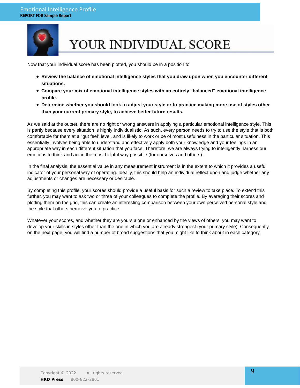

# YOUR INDIVIDUAL SCORE

Now that your individual score has been plotted, you should be in a position to:

- **Review the balance of emotional intelligence styles that you draw upon when you encounter different situations.**
- **Compare your mix of emotional intelligence styles with an entirely "balanced" emotional intelligence profile.**
- **Determine whether you should look to adjust your style or to practice making more use of styles other than your current primary style, to achieve better future results.**

As we said at the outset, there are no right or wrong answers in applying a particular emotional intelligence style. This is partly because every situation is highly individualistic. As such, every person needs to try to use the style that is both comfortable for them at a "gut feel" level, and is likely to work or be of most usefulness in the particular situation. This essentially involves being able to understand and effectively apply both your knowledge and your feelings in an appropriate way in each different situation that you face. Therefore, we are always trying to intelligently harness our emotions to think and act in the most helpful way possible (for ourselves and others).

In the final analysis, the essential value in any measurement instrument is in the extent to which it provides a useful indicator of your personal way of operating. Ideally, this should help an individual reflect upon and judge whether any adjustments or changes are necessary or desirable.

By completing this profile, your scores should provide a useful basis for such a review to take place. To extend this further, you may want to ask two or three of your colleagues to complete the profile. By averaging their scores and plotting them on the grid, this can create an interesting comparison between your own perceived personal style and the style that others perceive you to practice.

Whatever your scores, and whether they are yours alone or enhanced by the views of others, you may want to develop your skills in styles other than the one in which you are already strongest (your primary style). Consequently, on the next page, you will find a number of broad suggestions that you might like to think about in each category.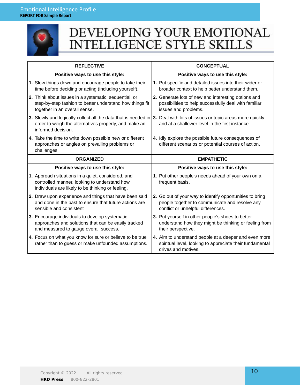

## DEVELOPING YOUR EMOTIONAL **INTELLIGENCE STYLE SKILLS**

| <b>REFLECTIVE</b>                                                                                                                                                                                       | <b>CONCEPTUAL</b>                                                                                                                                |  |
|---------------------------------------------------------------------------------------------------------------------------------------------------------------------------------------------------------|--------------------------------------------------------------------------------------------------------------------------------------------------|--|
| Positive ways to use this style:                                                                                                                                                                        | Positive ways to use this style:                                                                                                                 |  |
| 1. Slow things down and encourage people to take their<br>time before deciding or acting (including yourself).                                                                                          | 1. Put specific and detailed issues into their wider or<br>broader context to help better understand them.                                       |  |
| 2. Think about issues in a systematic, sequential, or<br>step-by-step fashion to better understand how things fit<br>together in an overall sense.                                                      | 2. Generate lots of new and interesting options and<br>possibilities to help successfully deal with familiar<br>issues and problems.             |  |
| 3. Slowly and logically collect all the data that is needed in   3. Deal with lots of issues or topic areas more quickly<br>order to weigh the alternatives properly, and make an<br>informed decision. | and at a shallower level in the first instance.                                                                                                  |  |
| 4. Take the time to write down possible new or different<br>approaches or angles on prevailing problems or<br>challenges.                                                                               | 4. Idly explore the possible future consequences of<br>different scenarios or potential courses of action.                                       |  |
| <b>ORGANIZED</b>                                                                                                                                                                                        | <b>EMPATHETIC</b>                                                                                                                                |  |
| Positive ways to use this style:                                                                                                                                                                        | Positive ways to use this style:                                                                                                                 |  |
| 1. Approach situations in a quiet, considered, and<br>controlled manner, looking to understand how<br>individuals are likely to be thinking or feeling.                                                 | 1. Put other people's needs ahead of your own on a<br>frequent basis.                                                                            |  |
| 2. Draw upon experience and things that have been said<br>and done in the past to ensure that future actions are<br>sensible and consistent                                                             | 2. Go out of your way to identify opportunities to bring<br>people together to communicate and resolve any<br>conflict or unhelpful differences. |  |
| 3. Encourage individuals to develop systematic<br>approaches and solutions that can be easily tracked<br>and measured to gauge overall success.                                                         | 3. Put yourself in other people's shoes to better<br>understand how they might be thinking or feeling from<br>their perspective.                 |  |
| 4. Focus on what you know for sure or believe to be true<br>rather than to guess or make unfounded assumptions.                                                                                         | 4. Aim to understand people at a deeper and even more<br>spiritual level, looking to appreciate their fundamental<br>drives and motives.         |  |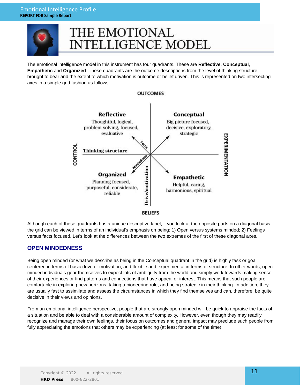

## THE EMOTIONAL **INTELLIGENCE MODEL**

The emotional intelligence model in this instrument has four quadrants. These are **Reflective**, **Conceptual**, **Empathetic** and **Organized**. These quadrants are the outcome descriptions from the level of thinking structure brought to bear and the extent to which motivation is outcome or belief driven. This is represented on two intersecting axes in a simple grid fashion as follows:



Although each of these quadrants has a unique descriptive label, if you look at the opposite parts on a diagonal basis, the grid can be viewed in terms of an individual's emphasis on being: 1) Open versus systems minded; 2) Feelings versus facts focused. Let's look at the differences between the two extremes of the first of these diagonal axes.

## **OPEN MINDEDNESS**

Being open minded (or what we describe as being in the Conceptual quadrant in the grid) is highly task or goal centered in terms of basic drive or motivation, and flexible and experimental in terms of structure. In other words, open minded individuals gear themselves to expect lots of ambiguity from the world and simply work towards making sense of their experiences or find patterns and connections that have appeal or interest. This means that such people are comfortable in exploring new horizons, taking a pioneering role, and being strategic in their thinking. In addition, they are usually fast to assimilate and assess the circumstances in which they find themselves and can, therefore, be quite decisive in their views and opinions.

From an emotional intelligence perspective, people that are strongly open minded will be quick to appraise the facts of a situation and be able to deal with a considerable amount of complexity. However, even though they may readily recognize and manage their own feelings, their focus on outcomes and general impact may preclude such people from fully appreciating the emotions that others may be experiencing (at least for some of the time).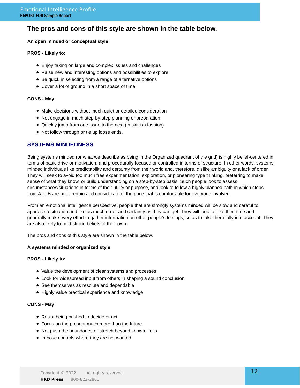## **The pros and cons of this style are shown in the table below.**

### **An open minded or conceptual style**

### **PROS - Likely to:**

- Enjoy taking on large and complex issues and challenges
- Raise new and interesting options and possibilities to explore
- Be quick in selecting from a range of alternative options
- Cover a lot of ground in a short space of time

### **CONS - May:**

- Make decisions without much quiet or detailed consideration
- Not engage in much step-by-step planning or preparation
- Quickly jump from one issue to the next (in skittish fashion)
- Not follow through or tie up loose ends.

## **SYSTEMS MINDEDNESS**

Being systems minded (or what we describe as being in the Organized quadrant of the grid) is highly belief-centered in terms of basic drive or motivation, and procedurally focused or controlled in terms of structure. In other words, systems minded individuals like predictability and certainty from their world and, therefore, dislike ambiguity or a lack of order. They will seek to avoid too much free experimentation, exploration, or pioneering type thinking, preferring to make sense of what they know, or build understanding on a step-by-step basis. Such people look to assess circumstances/situations in terms of their utility or purpose, and look to follow a highly planned path in which steps from A to B are both certain and considerate of the pace that is comfortable for everyone involved.

From an emotional intelligence perspective, people that are strongly systems minded will be slow and careful to appraise a situation and like as much order and certainty as they can get. They will look to take their time and generally make every effort to gather information on other people's feelings, so as to take them fully into account. They are also likely to hold strong beliefs of their own.

The pros and cons of this style are shown in the table below.

#### **A systems minded or organized style**

### **PROS - Likely to:**

- Value the development of clear systems and processes
- Look for widespread input from others in shaping a sound conclusion
- See themselves as resolute and dependable
- Highly value practical experience and knowledge

### **CONS - May:**

- Resist being pushed to decide or act
- Focus on the present much more than the future
- Not push the boundaries or stretch beyond known limits
- Impose controls where they are not wanted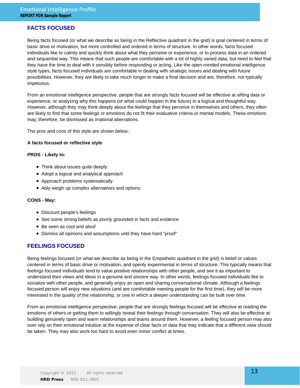## **FACTS FOCUSED**

Being facts focused (or what we describe as being in the Reflective quadrant in the grid) is goal centered in terms of basic drive or motivation, but more controlled and ordered in terms of structure. In other words, facts focused individuals like to calmly and quickly think about what they perceive or experience, or to process data in an ordered and sequential way. This means that such people are comfortable with a lot of highly varied data, but need to feel that they have the time to deal with it sensibly before responding or acting. Like the open-minded emotional intelligence style types, facts focused individuals are comfortable in dealing with strategic issues and dealing with future possibilities. However, they are likely to take much longer to make a final decision and are, therefore, not typically impetuous.

From an emotional intelligence perspective, people that are strongly facts focused will be effective at sifting data or experience, or analyzing why this happens (or what could happen in the future) in a logical and thoughtful way. However, although they may think deeply about the feelings that they perceive in themselves and others, they often are likely to find that some feelings or emotions do not fit their evaluative criteria or mental models. These emotions may, therefore, be dismissed as irrational aberrations.

The pros and cons of this style are shown below:

### **A facts focused or reflective style**

#### **PROS - Likely to:**

- Think about issues quite deeply
- Adopt a logical and analytical approach
- Approach problems systematically
- Ably weigh up complex alternatives and options

#### **CONS - May:**

- Discount people's feelings
- See some strong beliefs as poorly grounded in facts and evidence
- Be seen as cool and aloof
- Dismiss all opinions and assumptions until they have hard "proof"

## **FEELINGS FOCUSED**

Being feelings focused (or what we describe as being in the Empathetic quadrant in the grid) is belief or values centered in terms of basic drive or motivation, and openly experimental in terms of structure. This typically means that feelings focused individuals tend to value positive relationships with other people, and see it as important to understand their views and ideas in a genuine and sincere way. In other words, feelings focused individuals like to socialize with other people, and generally enjoy an open and sharing conversational climate. Although a feelings focused person will enjoy new situations (and are comfortable meeting people for the first time), they will be more interested in the quality of the relationship, or one in which a deeper understanding can be built over time.

From an emotional intelligence perspective, people that are strongly feelings focused will be effective at reading the emotions of others or getting them to willingly reveal their feelings through conversation. They will also be effective at building genuinely open and warm relationships and teams around them. However, a feeling focused person may also over rely on their emotional intuition at the expense of clear facts or data that may indicate that a different view should be taken. They may also work too hard to avoid even minor conflict at times.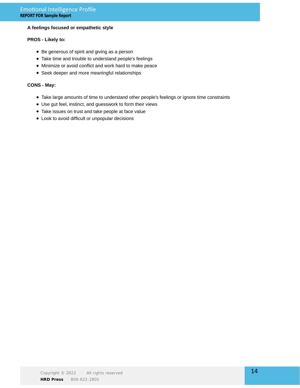## **A feelings focused or empathetic style**

### **PROS - Likely to:**

- Be generous of spirit and giving as a person
- Take time and trouble to understand people's feelings
- Minimize or avoid conflict and work hard to make peace
- Seek deeper and more meaningful relationships

### **CONS - May:**

- Take large amounts of time to understand other people's feelings or ignore time constraints
- Use gut feel, instinct, and guesswork to form their views
- Take issues on trust and take people at face value
- Look to avoid difficult or unpopular decisions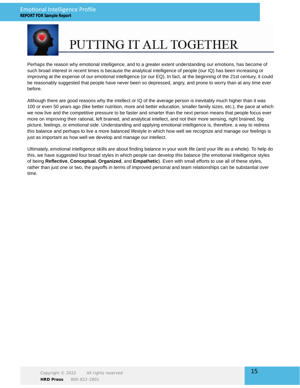

# PUTTING IT ALL TOGETHER

Perhaps the reason why emotional intelligence, and to a greater extent understanding our emotions, has become of such broad interest in recent times is because the analytical intelligence of people (our IQ) has been increasing or improving at the expense of our emotional intelligence (or our EQ). In fact, at the beginning of the 21st century, it could be reasonably suggested that people have never been so depressed, angry, and prone to worry than at any time ever before.

Although there are good reasons why the intellect or IQ of the average person is inevitably much higher than it was 100 or even 50 years ago (like better nutrition, more and better education, smaller family sizes, etc.), the pace at which we now live and the competitive pressure to be faster and smarter than the next person means that people focus ever more on improving their rational, left brained, and analytical intellect, and not their more sensing, right brained, big picture, feelings, or emotional side. Understanding and applying emotional intelligence is, therefore, a way to redress this balance and perhaps to live a more balanced lifestyle in which how well we recognize and manage our feelings is just as important as how well we develop and manage our intellect.

Ultimately, emotional intelligence skills are about finding balance in your work life (and your life as a whole). To help do this, we have suggested four broad styles in which people can develop this balance (the emotional intelligence styles of being **Reflective**, **Conceptual**, **Organized**, and **Empathetic**). Even with small efforts to use all of these styles, rather than just one or two, the payoffs in terms of improved personal and team relationships can be substantial over time.